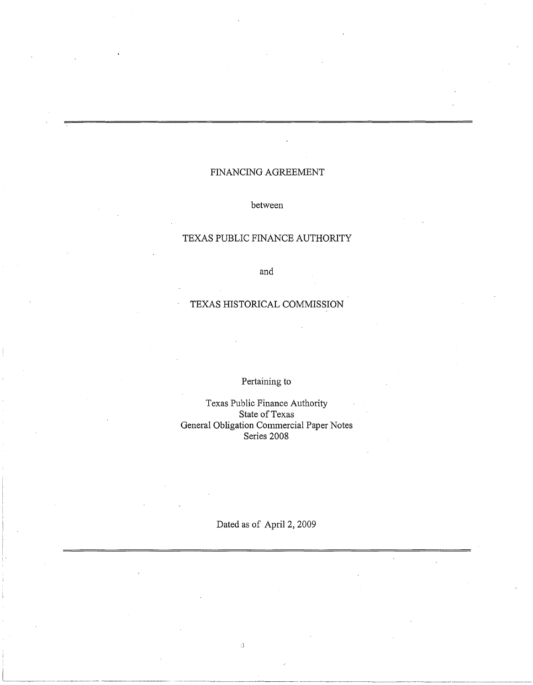# FINANCING AGREEMENT

## between

# TEXAS PUBLIC FINANCE AUTHORITY

and

# TEXAS HISTORICAL COMMISSION

# Pertaining to

Texas Public Finance Authority State of Texas General Obligation Commercial Paper Notes Series 2008

Dated as of April 2, 2009

------····-·-------·--------------~-----·-····-

J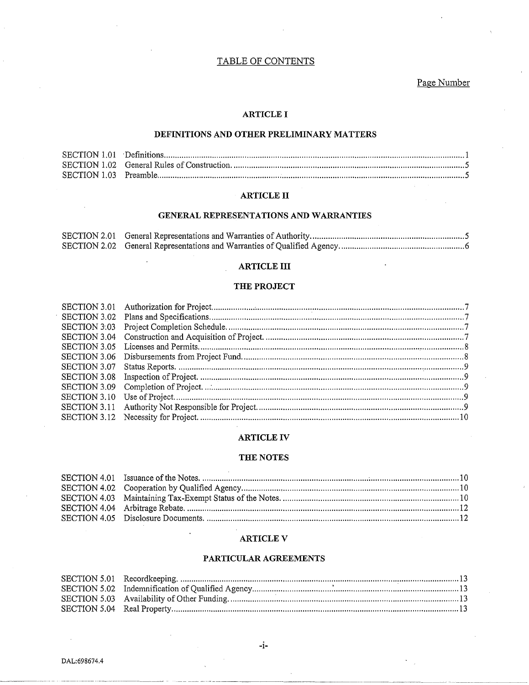# TABLE OF CONTENTS

# Page Number

# **ARTICLE I**

# DEFINITIONS AND OTHER PRELIMINARY MATTERS

## **ARTICLE II**

## GENERAL REPRESENTATIONS AND WARRANTIES

# **ARTICLE III**

## THE PROJECT

## **ARTICLE IV**

## THE NOTES

## **ARTICLE V**

# PARTICULAR AGREEMENTS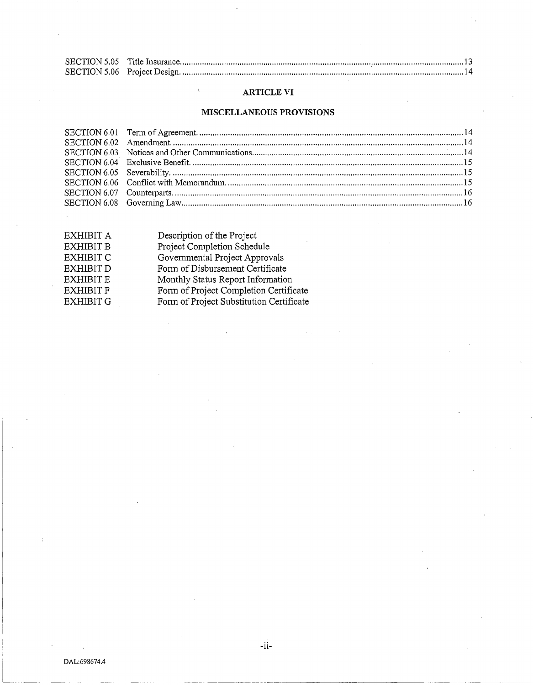# **ARTICLE VI**

# **MISCELLANEOUS PROVISIONS**

| Project Completion Schedule<br><b>EXHIBIT B</b><br>Governmental Project Approvals<br><b>EXHIBIT C</b> |  |
|-------------------------------------------------------------------------------------------------------|--|
|                                                                                                       |  |
|                                                                                                       |  |
| Form of Disbursement Certificate<br><b>EXHIBIT D</b>                                                  |  |
| <b>EXHIBIT E</b><br>Monthly Status Report Information                                                 |  |
| Form of Project Completion Certificate<br><b>EXHIBIT F</b>                                            |  |
| Form of Project Substitution Certificate<br><b>EXHIBIT G</b>                                          |  |

 $\langle$ 

-11-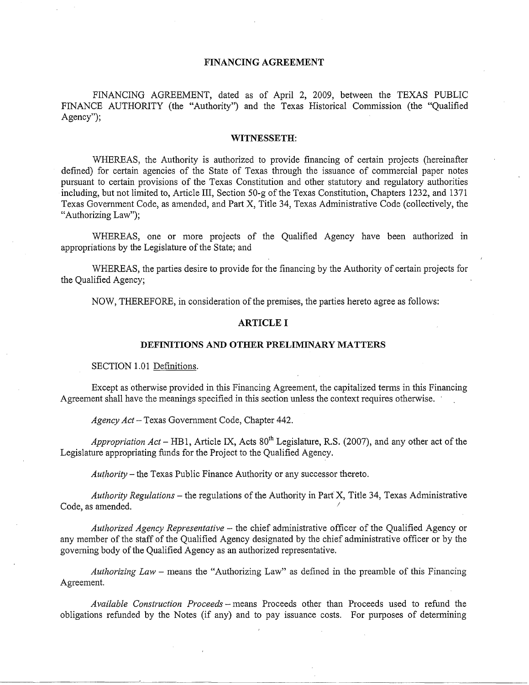# **FINANCING AGREEMENT**

FINANCING AGREEMENT, dated as of April 2, 2009, between the TEXAS PUBLIC FINANCE AUTHORITY (the "Authority") and the Texas Historical Commission (the "Qualified Agency");

#### **WITNESSETH:**

WHEREAS, the Authority is authorized to provide financing of certain projects (hereinafter defined) for certain agencies of the State of Texas through the issuance of commercial paper notes pursuant to certain provisions of the Texas Constitution and other statutory and regulatory authorities including, but not limited to, Article III, Section 50-g of the Texas Constitution, Chapters 1232, and 1371 Texas Government Code, as amended, and Part X, Title 34, Texas Administrative Code (collectively, the "Authorizing Law");

WHEREAS, one or more projects of the Qualified Agency have been authorized in appropriations by the Legislature of the State; and

WHEREAS, the parties desire to provide for the financing by the Authority of certain projects for the Qualified Agency;

NOW, THEREFORE, in consideration of the premises, the parties hereto agree as follows:

# **ARTICLE I**

#### **DEFINITIONS AND OTHER PRELIMINARY MATTERS**

SECTION 1.01 Definitions.

Except as otherwise provided in this Financing Agreement, the capitalized terms in this Financing Agreement shall have the meanings specified in this section unless the context requires otherwise.

*Agency Act-* Texas Government Code, Chapter 442.

Appropriation Act – HB1, Article IX, Acts 80<sup>th</sup> Legislature, R.S. (2007), and any other act of the Legislature appropriating funds for the Project to the Qualified Agency.

*Authority-* the Texas Public Finance Authority or any successor thereto.

*Authority Regulations* - the regulations of the Authority in Part X, Title 34, Texas Administrative Code, as amended.

*Authorized Agency Representative* - the chief administrative officer of the Qualified Agency or any member of the staff of the Qualified Agency designated by the chief administrative officer or by the governing body of the Qualified Agency as an authorized representative.

*Authorizing Law* - means the "Authorizing Law" as defined in the preamble of this Financing Agreement.

*Available Construction Proceeds-* means Proceeds other than Proceeds used to refund the obligations refunded by the Notes (if any) and to pay issuance costs. For purposes of determining

·-------------~~-·--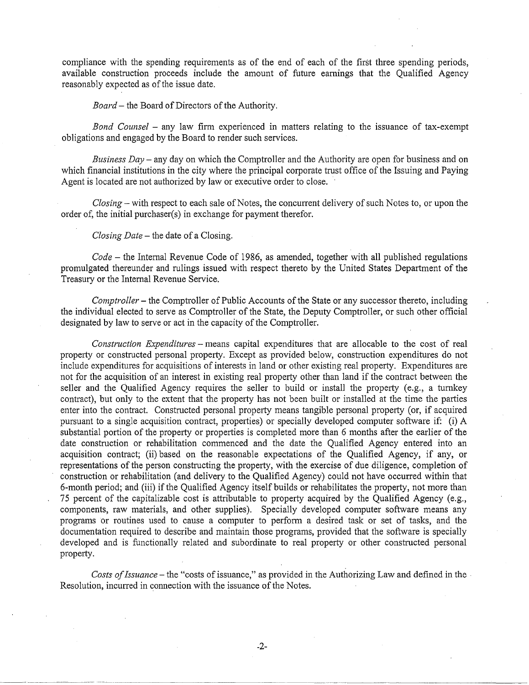compliance with the spending requirements as of the end of each of the first three spending periods, available construction proceeds include the amount of future earnings that the Qualified Agency reasonably expected as of the issue date.

*Board-* the Board of Directors of the Authority.

*Bond Counsel –* any law firm experienced in matters relating to the issuance of tax-exempt obligations and engaged by the Board to render such services.

*Business Day-* any day on which the Comptroller and the Authority are open for business and on which financial institutions in the city where the principal corporate trust office of the Issuing and Paying Agent is located are not authorized by law or executive order to close.

*Closing-* with respect to each sale of Notes, the concurrent delivery of such Notes to, or upon the order of, the initial purchaser(s) in exchange for payment therefor.

*Closing Date* – the date of a Closing.

*Code-* the Internal Revenue Code of 1986, as amended, together with all published regulations promulgated thereunder and rulings issued with respect thereto by the United States Department of the Treasury or the Internal Revenue Service.

*Comptroller-* the Comptroller of Public Accounts of the State or any successor thereto, including the individual elected to serve as Comptroller of the State, the Deputy Comptroller, or such other official designated by law to serve or act in the capacity of the Comptroller.

*Construction Expenditures* -means capital expenditures that are allocable to the cost of real property or constructed personal property. Except as provided below, construction expenditures do not include expenditures for acquisitions of interests in land or other existing real property. Expenditures are not for the acquisition of an interest in existing real property other than land if the contract between the seller and the Qualified Agency requires the seller to build or install the property (e.g., a turnkey contract), but only to the extent that the property has not been built or installed at the time the parties enter into the contract. Constructed personal property means tangible personal property (or, if acquired pursuant to a single acquisition contract, properties) or specially developed computer software if: (i) A substantial portion of the property or properties is completed more than 6 months after the earlier of the date construction or rehabilitation commenced and the date the Qualified Agency entered into an acquisition contract; (ii) based on the reasonable expectations of the Qualified Agency, if any, or representations of the person constructing the property, with the exercise of due diligence, completion of construction or rehabilitation (and delivery to the Qualified Agency) could not have occurred within that 6-month period; and (iii) if the Qualified Agency itself builds or rehabilitates the property, not more than 75 percent of the capitalizable cost is attributable to property acquired by the Qualified Agency (e.g., components, raw materials, and other supplies). Specially developed computer software means any programs or routines used to cause a computer to perform a desired task or set of tasks, and the documentation required to describe and maintain those programs, provided that the software is specially developed and is functionally related and subordinate to real property or other constructed personal property.

*Costs of Issuance-* the "costs of issuance," as provided in the Authorizing Law and defined in the Resolution, incurred in connection with the issuance of the Notes.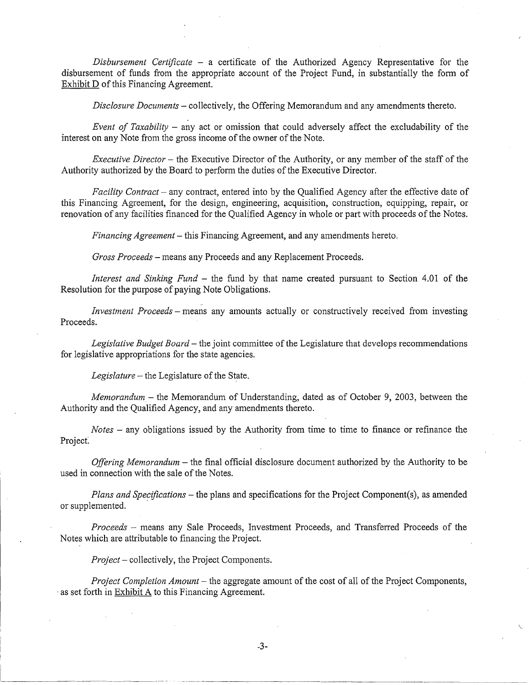*Disbursement Certificate* - a certificate of the Authorized Agency Representative for the disbursement of funds from the appropriate account of the Project Fund, in substantially the form of Exhibit D of this Financing Agreement.

*Disclosure Documents-* collectively, the Offering Memorandum and any amendments thereto.

*Event of Taxability* – any act or omission that could adversely affect the excludability of the interest on any Note from the gross income of the owner of the Note.

*Executive Director-* the Executive Director of the Authority, or any member of the staff of the Authority authorized by the Board to perform the duties of the Executive Director.

*Facility Contract-* any contract, entered into by the Qualified Agency after the effective date of this Financing Agreement, for the design, engineering, acquisition, construction, equipping, repair, or renovation of any facilities financed for the Qualified Agency in whole or part with proceeds of the Notes.

*Financing Agreement-* this Financing Agreement, and any amendments hereto.

*Gross Proceeds* -means any Proceeds and any Replacement Proceeds.

*Interest and Sinking Fund* - the fund by that name created pursuant to Section 4.01 of the Resolution for the purpose of paying Note Obligations.

*Investment Proceeds* – means any amounts actually or constructively received from investing Proceeds.

*Legislative Budget Board-* the joint committee of the Legislature that develops recommendations for legislative appropriations for the state agencies.

*Legislature* – the Legislature of the State.

*Memorandum-* the Memorandum of Understanding, dated as of October 9, 2003, between the Authority and the Qualified Agency, and any amendments thereto.

*Notes* - any obligations issued by the Authority from time to time to finance or refinance the Project

*Offering Memorandum-* the final official disclosure document authorized by the Authority to be used in connection with the sale of the Notes.

*Plans and Specifications-* the plans and specifications for the Project Component(s), as amended or supplemented.

*Proceeds* - means any Sale Proceeds, Investment Proceeds, and Transferred Proceeds of the Notes which are attributable to financing the Project.

*Project-* collectively, the Project Components.

*Project Completion Amount-* the aggregate amount of the cost of all of the Project Components, · as set forth in Exhibit A to this Financing Agreement.

\.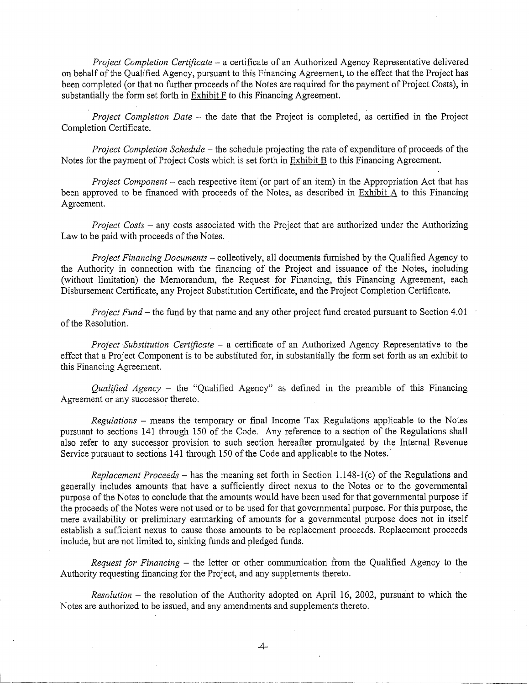*Project Completion Certificate* - a certificate of an Authorized Agency Representative delivered on behalf of the Qualified Agency, pursuant to this Financing Agreement, to the effect that the Project has been completed (or that no further proceeds of the Notes are required for the payment of Project Costs), in substantially the form set forth in Exhibit F to this Financing Agreement.

*Project Completion Date* - the date that the Project is completed, as certified in the Project Completion Certificate.

*Project Completion Schedule-* the schedule projecting the rate of expenditure of proceeds of the Notes for the payment of Project Costs which is set forth in Exhibit B to this Financing Agreement.

*Project Component* – each respective item (or part of an item) in the Appropriation Act that has been approved to be financed with proceeds of the Notes, as described in Exhibit A to this Financing Agreement.

*Project Costs-* any costs associated with the Project that are authorized under the Authorizing Law to be paid with proceeds of the Notes.

*Project Financing Documents* - collectively, all documents furnished by the Qualified Agency to the Authority in connection with the financing of the Project and issuance of the Notes, including (without limitation) the Memorandum, the Request for Financing, this Financing Agreement, each Disbursement Certificate, any Project Substitution Certificate, and the Project Completion Certificate.

*Project Fund-* the fund by that name and any other project fund created pursuant to Section 4.01 of the Resolution.

*Project ·Substitution Certificate* - a certificate of an Authorized Agency Representative to the effect that a Project Component is to be substituted for, in substantially the form set forth as an exhibit to this Financing Agreement.

*Qualified Agency* - the "Qualified Agency" as defined in the preamble of this Financing Agreement or any successor thereto.

*Regulations* - means the temporary or final Income Tax Regulations applicable to the Notes pursuant to sections 141 through 150 of the Code. Any reference to a section of the Regulations shall also refer to any successor provision to such section hereafter promulgated by the Internal Revenue Service pursuant to sections 141 through 150 of the Code and applicable to the Notes.

*Replacement Proceeds* - has the meaning set forth in Section 1.148-1 (c) of the Regulations and generally includes amounts that have a sufficiently direct nexus to the Notes or to the governmental purpose of the Notes to conclude that the amounts would have been used for that governmental purpose if the proceeds of the Notes were not used or to be used for that governmental purpose. For this purpose, the mere availability or preliminary earmarking of amounts for a governmental purpose does not in itself establish a sufficient nexus to cause those amounts to be replacement proceeds. Replacement proceeds include, but are not limited to, sinking funds and pledged funds.

*Request for Financing* - the letter or other communication from the Qualified Agency to the Authority requesting financing for the Project, and any supplements thereto.

*Resolution* – the resolution of the Authority adopted on April 16, 2002, pursuant to which the Notes are authorized to be issued, and any amendments and supplements thereto.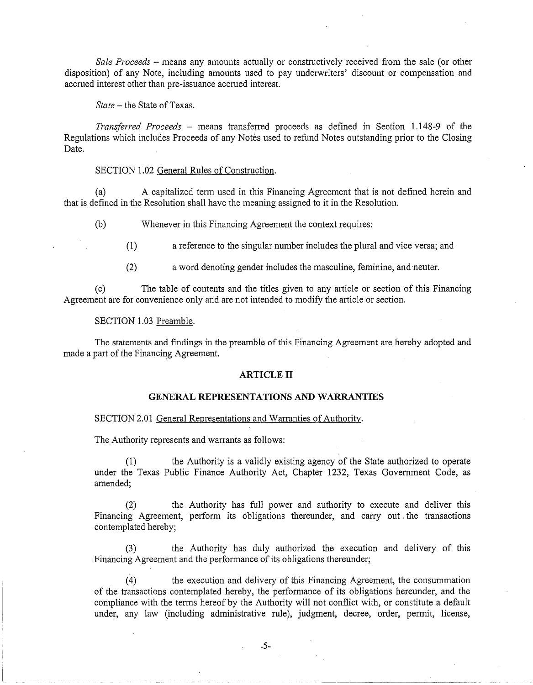*Sale Proceeds* - means any amounts actually or constructively received from the sale (or other disposition) of any Note, including amounts used to pay underwriters' discount or compensation and accrued interest other than pre-issuance accrued interest.

*State-* the State of Texas.

*Transferred Proceeds* - means transferred proceeds as defined in Section 1.148-9 of the Regulations which includes Proceeds of any Notes used to refund Notes outstanding prior to the Closing Date.

# SECTION 1.02 General Rules of Construction.

(a) A capitalized term used in this Financing Agreement that is not defined herein and that is defined in the Resolution shall have the meaning assigned to it in the Resolution.

(b) Whenever in this Financing Agreement the context requires:

(1) a reference to the singular number includes the plural and vice versa; and

(2) a word denoting gender includes the masculine, feminine, and neuter.

(c) The table of contents and the titles given to any article or section of this Financing Agreement are for convenience only and are not intended to modify the article or section.

#### SECTION 1.03 Preamble.

The statements and findings in the preamble of this Financing Agreement are hereby adopted and made a part of the Financing Agreement.

#### **ARTICLE II**

#### **GENERAL REPRESENTATIONS AND WARRANTIES**

#### SECTION 2.01 General Representations and Warranties of Authority.

The Authority represents and warrants as follows:

(1) the Authority is a validly existing agency of the State authorized to operate under the Texas Public Finance Authority Act, Chapter 1232, Texas Government Code, as amended;

(2) the Authority has full power and authority to execute and deliver this Financing Agreement, perform its obligations thereunder, and carry out the transactions contemplated hereby;

(3) the Authority has duly authorized the execution and delivery of this Financing Agreement and the performance of its obligations thereunder;

(4) the execution and delivery of this Financing Agreement, the consummation of the transactions contemplated hereby, the performance of its obligations hereunder, and the compliance with the terms hereof by the Authority will not conflict with, or constitute a default under, any law (including administrative rule), judgment, decree, order, permit, license,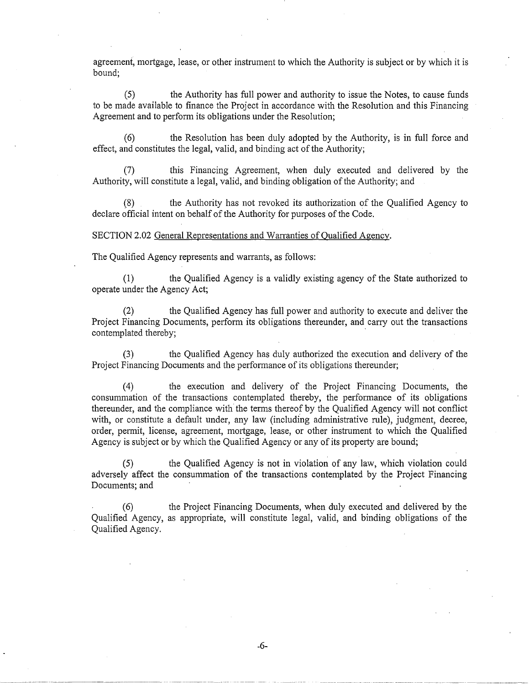agreement, mortgage, lease, or other instrument to which the Authority is subject or by which it is bound;

(5) the Authority has full power and authority to issue the Notes, to cause funds to be made available to finance the Project in accordance with the Resolution and this Financing Agreement and to perform its obligations under the Resolution;

(6) the Resolution has been duly adopted by the Authority, is in full force and effect, and constitutes the legal, valid, and binding act of the Authority;

(7) this Financing Agreement, when duly executed and delivered by the Authority, will constitute a legal, valid, and binding obligation of the Authority; and

(8) the Authority has not revoked its authorization of the Qualified Agency to declare official intent on behalf of the Authority for purposes of the Code.

#### SECTION 2.02 General Representations and Warranties of Qualified Agency.

The Qualified Agency represents and warrants, as follows:

(1) the Qualified Agency is a validly existing agency of the State authorized to operate under the Agency Act;

(2) the Qualified Agency has full power and authority to execute and deliver the Project Financing Documents, perform its obligations thereunder, and carry out the transactions contemplated thereby;

(3) the Qualified Agency has duly authorized the execution and delivery of the Project Financing Documents and the performance of its obligations thereunder;

(4) the execution and delivery of the Project Financing Documents, the consummation of the transactions contemplated thereby, the performance of its obligations thereunder, and the compliance with the terms thereof by the Qualified Agency will not conflict with, or constitute a default under, any law (including administrative rule), judgment, decree, order, permit, license, agreement, mortgage, lease, or other instrument to which the Qualified Agency is subject or by which the Qualified Agency or any of its property are bound;

(5) the Qualified Agency is not in violation of any law, which violation could adversely affect the consummation of the transactions contemplated by the Project Financing Documents; and

(6) the Project Financing Documents, when duly executed and delivered by the Qualified Agency, as appropriate, will constitute legal, valid, and binding obligations of the Qualified Agency.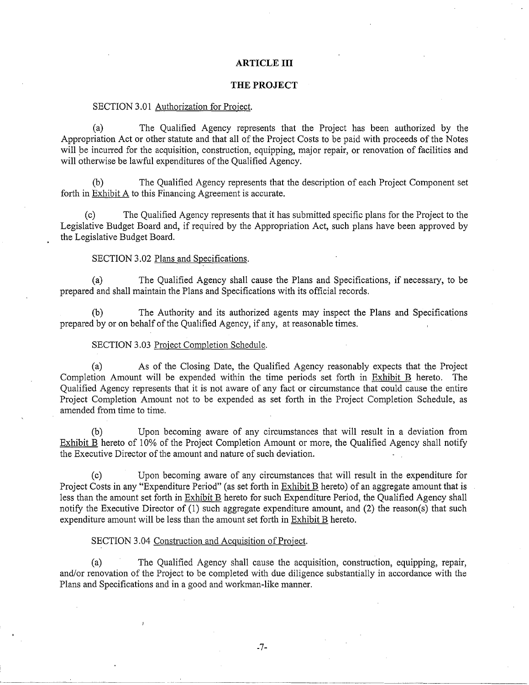## **ARTICLE III**

# **THE PROJECT**

#### SECTION 3.01 Authorization for Project.

(a) The Qualified Agency represents that the Project has been authorized by the Appropriation Act or other statute and that all of the Project Costs to be paid with proceeds of the Notes will be incurred for the acquisition, construction, equipping, major repair, or renovation of facilities and will otherwise be lawful expenditures of the Qualified Agency.

(b) The Qualified Agency represents that the description of each Project Component set forth in Exhibit A to this Financing Agreement is accurate.

(c) The Qualified Agency represents that it has submitted specific plans for the Project to the Legislative Budget Board and, if required by the Appropriation Act, such plans have been approved by the Legislative Budget Board.

# SECTION 3.02 Plans and Specifications.

(a) The Qualified Agency shall cause the Plans and Specifications, if necessary, to be prepared and shall maintain the Plans and Specifications with its official records.

(b) The Authority and its authorized agents may inspect the Plans and Specifications prepared by or on behalf of the Qualified Agency, if any, at reasonable times.

#### SECTION 3.03 Project Completion Schedule.

(a) As of the Closing Date, the Qualified Agency reasonably expects that the Project Completion Amount will be expended within the time periods set forth in Exhibit B hereto. The Qualified Agency represents that it is not aware of any fact or circumstance that could cause the entire Project Completion Amount not to be expended as set forth in the Project Completion Schedule, as amended from time to time.

(b) Upon becoming aware of any circumstances that will result in a deviation from Exhibit B hereto of 10% of the Project Completion Amount or more, the Qualified Agency shall notify the Executive Director of the amount and nature of such deviation.

(c) Upon becoming aware of any circumstances that will result in the expenditure for Project Costs in any "Expenditure Period" (as set forth in Exhibit B hereto) of an aggregate amount that is less than the amount set forth in Exhibit B hereto for such Expenditure Period, the Qualified Agency shall notify the Executive Director of (1) such aggregate expenditure amount, and (2) the reason(s) that such expenditure amount will be less than the amount set forth in Exhibit B hereto.

# SECTION 3.04 Construction and Acquisition of Project.

(a) The Qualified Agency shall cause the acquisition, construction, equipping, repair, and/or renovation of the Project to be completed with due diligence substantially in accordance with the Plans and Specifications and in a good and workman-like manner.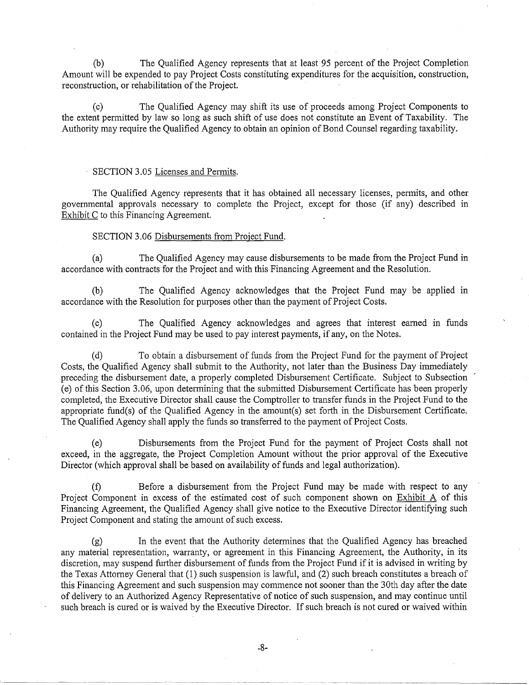(b) The Qualified Agency represents that at least 95 percent of the Project Completion Amount will be expended to pay Project Costs constituting expenditures for the acquisition, construction, reconstruction, or rehabilitation of the Project.

(c) The Qualified Agency may shift its use of proceeds among Project Components to the extent permitted by law so long as such shift of use does not constitute an Event of Taxability. The Authority may require the Qualified Agency to obtain an opinion of Bond Counsel regarding taxability.

#### SECTION 3.05 Licenses and Permits.

The Qualified Agency represents that it has obtained all necessary licenses, permits, and other governmental approvals necessary to complete the Project, except for those (if any) described in Exhibit C to this Financing Agreement.

# SECTION 3.06 Disbursements from Project Fund.

(a) The Qualified Agency may cause disbursements to be made from the Project Fund in accordance with contracts for the Project and with this Financing Agreement and the Resolution.

(b) The Qualified Agency acknowledges that the Project Fund may be applied m accordance with the Resolution for purposes other than the payment of Project Costs.

(c) The Qualified Agency acknowledges and agrees that interest earned in funds contained in the Project Fund may be used to pay interest payments, if any, on the Notes.

(d) To obtain a disbursement of funds from the Project Fund for the payment of Project Costs, the Qualified Agency shall submit to the Authority, not later than the Business Day immediately preceding the disbursement date, a properly completed Disbursement Certificate. Subject to Subsection (e) of this Section 3.06, upon determining that the submitted Disbursement Certificate has been properly completed, the Executive Director shall cause the Comptroller to transfer funds in the Project Fund to the appropriate fund(s) of the Qualified Agency in the amount(s) set forth in the Disbursement Certificate. The Qualified Agency shall apply the funds so transferred to the payment of Project Costs.

(e) Disbursements from the Project Fund for the payment of Project Costs shall not exceed, in the aggregate, the Project Completion Amount without the prior approval of the Executive Director (which approval shall be based on availability of funds and legal authorization).

(f) Before a disbursement from the Project Fund may be made with respect to any Project Component in excess of the estimated cost of such component shown on Exhibit A of this Financing Agreement, the Qualified Agency shall give notice to the Executive Director identifying such Project Component and stating the amount of such excess.

(g) In the event that the Authority determines that the Qualified Agency has breached any material representation, warranty, or agreement in this Financing Agreement, the Authority, in its discretion, may suspend further disbursement of funds from the Project Fund if it is advised in writing by the Texas Attorney General that (1) such suspension is lawful, and (2) such breach constitutes a breach of this Financing Agreement and such suspension may commence not sooner than the 30th day after the date of delivery to an Authorized Agency Representative of notice of such suspension, and may continue until such breach is cured or is waived by the Executive Director. If such breach is not cured or waived within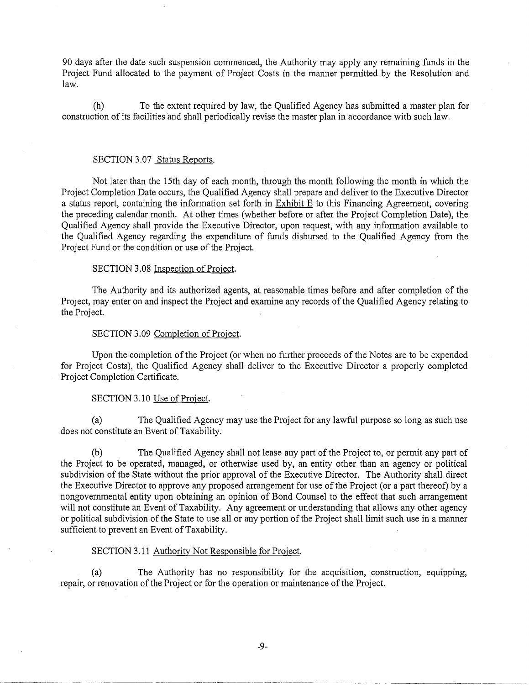90 days after the date such suspension commenced, the Authority may apply any remaining funds in the Project Fund allocated to the payment of Project Costs in the manner permitted by the Resolution and law.

(h) To the extent required by law, the Qualified Agency has submitted a master plan for construction of its facilities and shall periodically revise the master plan in accordance with such law.

# SECTION 3.07 Status Reports.

Not later than the 15th day of each month, through the month following the month in which the Project Completion Date occurs, the Qualified Agency shall prepare and deliver to the Executive Director a status report, containing the information set forth in Exhibit E to this Financing Agreement, covering the preceding calendar month. At other times (whether before or after the Project Completion Date), the Qualified Agency shall provide the Executive Director, upon request, with any information available to the Qualified Agency regarding the expenditure of funds disbursed to the Qualified Agency from the Project Fund or the condition or use of the Project.

# SECTION 3.08 Inspection of Project.

The Authority and its authorized agents, at reasonable times before and after completion of the Project, may enter on and inspect the Project and examine any records of the Qualified Agency relating to the Project.

# SECTION 3.09 Completion of Project.

Upon the completion of the Project (or when no further proceeds of the Notes are to be expended for Project Costs), the Qualified Agency shall deliver to the Executive Director a properly completed Project Completion Certificate.

#### SECTION 3.10 Use of Project.

(a) The Qualified Agency may use the Project for any lawful purpose so long as such use does not constitute an Event of Taxability.

(b) The Qualified Agency shall not lease any part of the Project to, or permit any part of the Project to be operated, managed, or otherwise used by, an entity other than an agency or political subdivision of the State without the prior approval of the Executive Director. The Authority shall direct the Executive Director to approve any proposed arrangement for use of the Project (or a part thereof) by a nongovernmental entity upon obtaining an opinion of Bond Counsel to the effect that such arrangement will not constitute an Event of Taxability. Any agreement or understanding that allows any other agency or political subdivision of the State to use all or any portion of the Project shall limit such use in a manner sufficient to prevent an Event of Taxability.

#### SECTION 3.11 Authority Not Responsible for Project.

----· ····-~---- .... ····-· ---··-·-··-------···-----·-·-·-······ -··· --·---

(a) The Authority has no responsibility for the acquisition, construction, equipping, repair, or renoyation of the Project or for the operation or maintenance of the Project.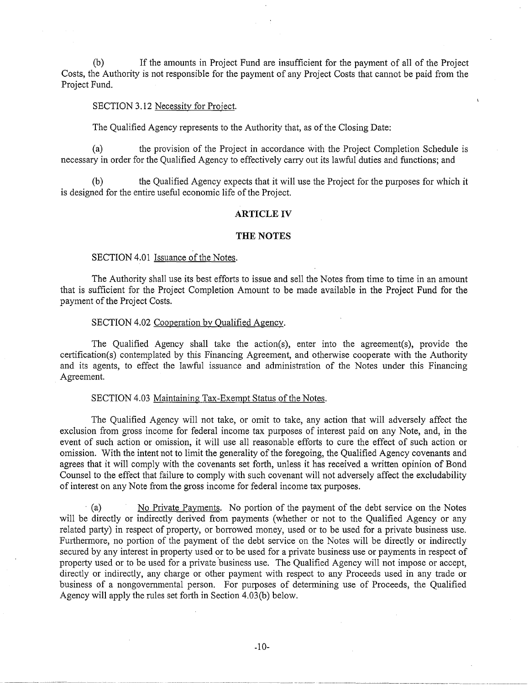(b) If the amounts in Project Fund are insufficient for the payment of all of the Project Costs, the Authority is not responsible for the payment of any Project Costs that cannot be paid from the Project Fund.

# SECTION 3.12 Necessity for Project.

The Qualified Agency represents to the Authority that, as of the Closing Date:

(a) the provision of the Project in accordance with the Project Completion Schedule is necessary in order for the Qualified Agency to effectively carry out its lawful duties and functions; and

(b) the Qualified Agency expects that it will use the Project for the purposes for which it is designed for the entire useful economic life of the Project.

#### **ARTICLE IV**

#### **THE NOTES**

## SECTION 4.01 Issuance of the Notes.

----------------·-

The Authority shall use its best efforts to issue and sell the Notes from time to time in an amount that is sufficient for the Project Completion Amount to be made available in the Project Fund for the payment of the Project Costs.

#### SECTION 4.02 Cooperation by Qualified Agency.

The Qualified Agency shall take the action(s), enter into the agreement(s), provide the certification(s) contemplated by this Financing Agreement, and otherwise cooperate with the Authority and its agents, to effect the lawful issuance and administration of the Notes under this Financing Agreement.

#### SECTION 4.03 Maintaining Tax-Exempt Status of the Notes.

The Qualified Agency will not take, or omit to take, any action that will adversely affect the exclusion from gross income for federal income tax purposes of interest paid on any Note, and, in the event of such action or omission, it will use all reasonable efforts to cure the effect of such action or omission. With the intent not to limit the generality of the foregoing, the Qualified Agency covenants and agrees that it will comply with the covenants set forth, unless it has received a written opinion of Bond Counsel to the effect that failure to comply with such covenant will not adversely affect the excludability of interest on any Note from the gross income for federal income tax purposes.

· (a) No Private Payments. No portion of the payment of the debt service on the Notes will be directly or indirectly derived from payments (whether or not to the Qualified Agency or any related party) in respect of property, or borrowed money, used or to be used for a private business use. Furthermore, no portion of the payment of the debt service on the Notes will be directly or indirectly secured by any interest in property used or to be used for a private business use or payments in respect of property used or to be used for a private business use. The Qualified Agency will not impose or accept, directly or indirectly, any charge or other payment with respect to any Proceeds used in any trade or business of a nongovernmental person. For purposes of determining use of Proceeds, the Qualified Agency will apply the rules set forth in Section 4.03(b) below.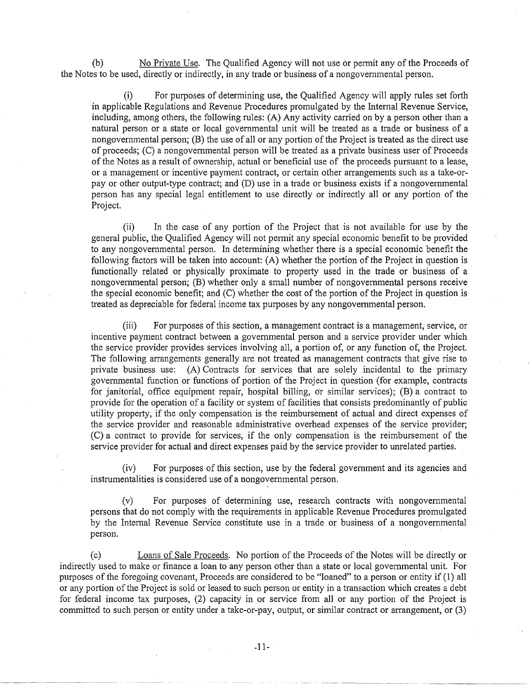(b) No Private Use. The Qualified Agency will not use or permit any of the Proceeds of the Notes to be used, directly or indirectly, in any trade or business of a nongovernmental person.

(i) For purposes of determining use, the Qualified Agency will apply rules set forth in applicable Regulations and Revenue Procedures promulgated by the Internal Revenue Service, including, among others, the following rules: (A) Any activity carried on by a person other than a natural person or a state or local governmental unit will be treated as a trade or business of a nongovernmental person; (B) the use of all or any portion of the Project is treated as the direct use of proceeds; (C) a nongovernmental person will be treated as a private business user of Proceeds of the Notes as a result of ownership, actual or beneficial use of the proceeds pursuant to a lease, or a management or incentive payment contract, or certain other arrangements such as a take-orpay or other output-type contract; and (D) use in a trade or business exists if a nongovernmental person has any special legal entitlement to use directly or indirectly all or any portion of the Project.

(ii) In the case of any portion of the Project that is not available for use by the general public, the Qualified Agency will not permit any special economic benefit to be provided to any nongovernmental person. In determining whether there is a special economic benefit the following factors will be taken into account: (A) whether the portion of the Project in question is functionally related or physically proximate to property used in the trade or business of a nongovernmental person; (B) whether only a small number of nongovernmental persons receive the special economic benefit; and (C) whether the cost of the portion of the Project in question is treated as depreciable for federal income tax purposes by any nongovernmental person.

(iii) For purposes of this section, a management contract is a management, service, or incentive payment contract between a governmental person and a service provider under which the service provider provides services involving all, a portion of, or any function of, the Project. The following arrangements generally are not treated as management contracts that give rise to private business use: (A) Contracts for services that are solely incidental to the primary governmental function or functions of portion of the Project in question (for example, contracts for janitorial, office equipment repair, hospital billing, or similar services); (B) a contract to provide for the operation of a facility or system of facilities that consists predominantly of public utility property, if the only compensation is the reimbursement of actual and direct expenses of the service provider and reasonable administrative overhead expenses of the service provider; (C) a contract to provide for services, if the only compensation is the reimbursement of the service provider for actual and direct expenses paid by the service provider to unrelated parties.

(iv) For purposes of this section, use by the federal government and its agencies and instrumentalities is considered use of a nongovernmental person.

(v) For purposes of determining use, research contracts with nongovernmental persons that do not comply with the requirements in applicable Revenue Procedures promulgated by the Internal Revenue Service constitute use in a trade or business of a nongovernmental person.

(c) Loans of Sale Proceeds. No portion of the Proceeds of the Notes will be directly or indirectly used to make or finance a loan to any person other than a state or local governmental unit. For purposes of the foregoing covenant, Proceeds are considered to be "loaned" to a person or entity if (1) all or any portion of the Project is sold or leased to such person or entity in a transaction which creates a debt for federal income tax purposes, (2) capacity in or service from all or any portion of the Project is committed to such person or entity under a take-or-pay, output, or similar contract or arrangement, or (3)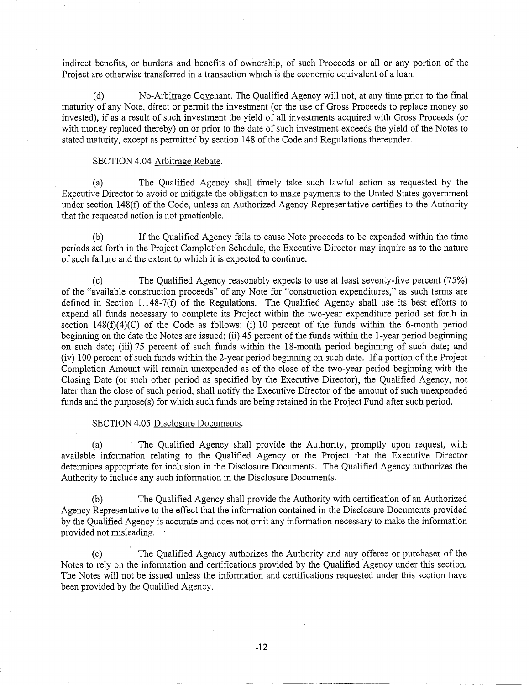indirect benefits, or burdens and benefits of ownership, of such Proceeds or all or any portion of the Project are otherwise transferred in a transaction which is the economic equivalent of a loan.

(d) No-Arbitrage Covenant. The Qualified Agency will not, at any time prior to the final maturity of any Note, direct or permit the investment (or the use of Gross Proceeds to replace money so invested), if as a result of such investment the yield of all investments acquired with Gross Proceeds (or with money replaced thereby) on or prior to the date of such investment exceeds the yield of the Notes to stated maturity, except as permitted by section 148 of the Code and Regulations thereunder.

# SECTION 4.04 Arbitrage Rebate.

(a) The Qualified Agency shall timely take such lawful action as requested by the Executive Director to avoid or mitigate the obligation to make payments to the United States government under section 148(f) of the Code, unless an Authorized Agency Representative certifies to the Authority that the requested action is not practicable.

(b) If the Qualified Agency fails to cause Note proceeds to be expended within the time periods set forth in the Project Completion Schedule, the Executive Director may inquire as to the nature of such failure and the extent to which it is expected to continue.

(c) The Qualified Agency reasonably expects to use at least seventy-five percent (75%) of the "available construction proceeds" of any Note for "construction expenditures," as such terms are defined in Section 1.148-7(f) of the Regulations. The Qualified Agency shall use its best efforts to expend all funds necessary to complete its Project within the two-year expenditure period set forth in section  $148(f)(4)(C)$  of the Code as follows: (i) 10 percent of the funds within the 6-month period beginning on the date the Notes are issued; (ii) 45 percent of the funds within the 1-year period beginning on such date; (iii) 75 percent of such funds within the 18-month period beginning of such date; and (iv) 100 percent of such funds within the 2-year period beginning on such date. If a portion of the Project Completion Amount will remain unexpended as of the close of the two-year period beginning with the Closing Date (or such other period as specified by the Executive Director), the Qualified Agency, not later than the close of such period, shall notify the Executive Director of the amount of such unexpended funds and the purpose(s) for which such funds are being retained in the Project Fund after such period.

#### SECTION 4.05 Disclosure Documents.

(a) The Qualified Agency shall provide the Authority, promptly upon request, with available infonnation relating to the Qualified Agency or the Project that the Executive Director determines appropriate for inclusion in the Disclosure Documents. The Qualified Agency authorizes the Authority to include any such information in the Disclosure Documents.

(b) The Qualified Agency shall provide the Authority with certification of an Authorized Agency Representative to the effect that the information contained in the Disclosure Documents provided by the Qualified Agency is accurate and does not omit any information necessary to make the information provided not misleading.

(c) The Qualified Agency authorizes the Authority and any offeree or purchaser of the Notes to rely on the infornmtion and certifications provided by the Qualified Agency under this section. The Notes will not be issued unless the information and certifications requested under this section have been provided by the Qualified Agency.

----------~-----~--~------ ----- ---------- ··------- ----------·--·· -------------~------ --------------------- -~~~~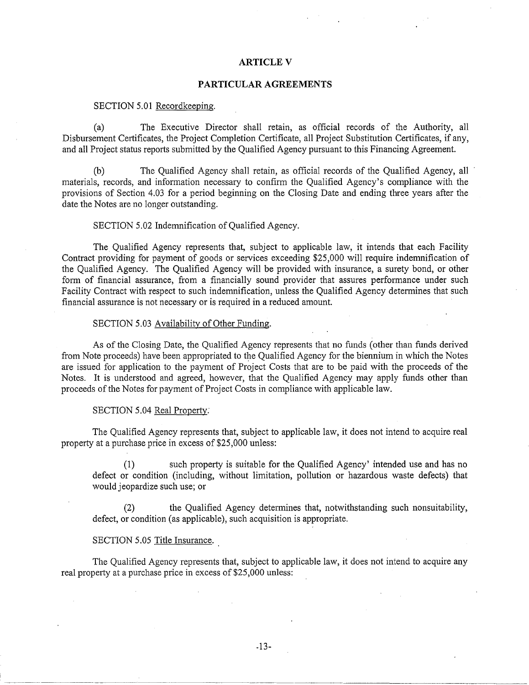# **ARTICLE V**

# **PARTICULAR AGREEMENTS**

## SECTION 5.01 Recordkeeping.

(a) The Executive Director shall retain, as official records of the Authority, all Disbursement Certificates, the Project Completion Certificate, all Project Substitution Certificates, if any, and all Project status reports submitted by the Qualified Agency pursuant to this Financing Agreement.

(b) The Qualified Agency shall retain, as official records of the Qualified Agency, all materials, records, and information necessary to confirm the Qualified Agency's compliance with the provisions of Section 4.03 for a period beginning on the Closing Date and ending three years after the date the Notes are no longer outstanding.

# SECTION 5.02 Indemnification of Qualified Agency.

The Qualified Agency represents that, subject to applicable law, it intends that each Facility Contract providing for payment of goods or services exceeding \$25,000 will require indemnification of the Qualified Agency. The Qualified Agency will be provided with insurance, a surety bond, or other form of financial assurance, from a financially sound provider that assures performance under such Facility Contract with respect to such indemnification, unless the Qualified Agency determines that such financial assurance is not necessary or is required in a reduced amount.

# SECTION 5.03 Availability of Other Funding.

As of the Closing Date, the Qualified Agency represents that no funds (other than funds derived from Note proceeds) have been appropriated to the Qualified Agency for the biennium in which the Notes are issued for application to the payment of Project Costs that are to be paid with the proceeds of the Notes. It is understood and agreed, however, that the Qualified Agency may apply funds other than proceeds of the Notes for payment of Project Costs in compliance with applicable law.

# SECTION 5.04 Real Property:

The Qualified Agency represents that, subject to applicable law, it does not intend to acquire real property at a purchase price in excess of \$25,000 unless:

(1) such property is suitable for the Qualified Agency' intended use and has no defect or condition (including, without limitation, pollution or hazardous waste defects) that would jeopardize such use; or

the Qualified Agency determines that, notwithstanding such nonsuitability, defect, or condition (as applicable), such acquisition is appropriate.

#### SECTION 5.05 Title Insurance.

The Qualified Agency represents that, subject to applicable law, it does not intend to acquire any real property at a purchase price in excess of \$25,000 unless: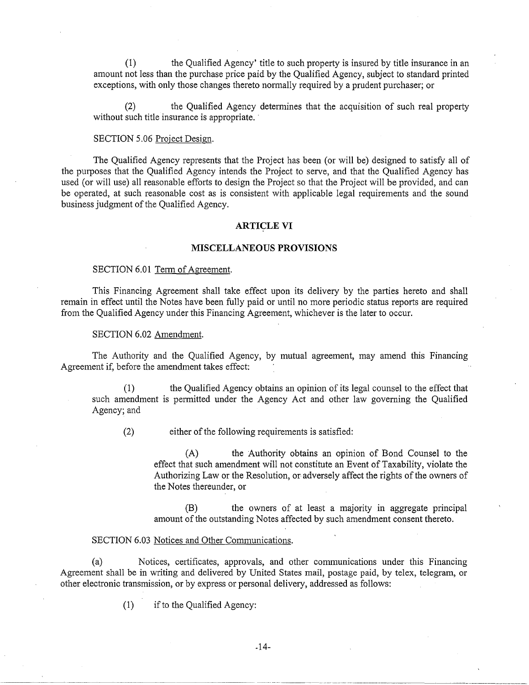(1) the Qualified Agency' title to such property is insured by title insurance in an amount not less than the purchase price paid by the Qualified Agency, subject to standard printed exceptions, with only those changes thereto normally required by a prudent purchaser; or

the Qualified Agency determines that the acquisition of such real property without such title insurance is appropriate.

## SECTION 5.06 Project Design.

The Qualified Agency represents that the Project has been (or will be) designed to satisfy all of the purposes that the Qualified Agency intends the Project to serve, and that the Qualified Agency has used (or will use) all reasonable efforts to design the Project so that the Project will be provided, and can be operated, at such reasonable cost as is consistent with applicable legal requirements and the sound business judgment of the Qualified Agency.

#### **ARTICLE VI**

#### **MISCELLANEOUS PROVISIONS**

#### SECTION 6.01 Term of Agreement.

This Financing Agreement shall take effect upon its delivery by the parties hereto and shall remain in effect until the Notes have been fully paid or until no more periodic status reports are required from the Qualified Agency under this Financing Agreement, whichever is the later to occur.

# SECTION 6.02 Amendment.

The Authority and the Qualified Agency, by mutual agreement, may amend this Financing Agreement if, before the amendment takes effect:

(1) the Qualified Agency obtains an opinion of its legal counsel to the effect that such amendment is permitted under the Agency Act and other law governing the Qualified Agency; and

(2) either of the following requirements is satisfied:

(A) the Authority obtains an opinion of Bond Counsel to the effect that such amendment will not constitute an Event of Taxability, violate the Authorizing Law or the Resolution, or adversely affect the rights of the owners of the Notes thereunder, or

(B) the owners of at least a majority in aggregate principal amount of the outstanding Notes affected by such amendment consent thereto.

---~---~ ~·-·----·-·---~-- -·-- --··-· --·--··----·---- -----~--··-------·-·--------·-

# SECTION 6.03 Notices and Other Communications.

(a) Notices, certificates, approvals, and other communications under this Financing Agreement shall be in writing and delivered by United States mail, postage paid, by telex, telegram, or other electronic transmission, or by express or personal delivery, addressed as follows:

(1) if to the Qualified Agency: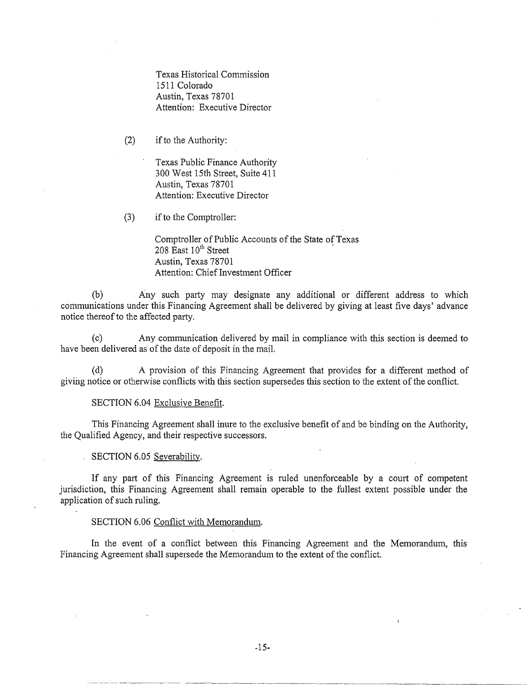Texas Historical Commission 1511 Colorado Austin, Texas 78701 Attention: Executive Director

(2) if to the Authority:

Texas Public Finance Authority 300 West 15th Street, Suite 411 Austin, Texas 78701 Attention: Executive Director

(3) ifto the Comptroller:

Comptroller of Public Accounts of the State of Texas 208  $\text{East } 10^{\text{th}}$  Street Austin, Texas 78701 Attention: Chief Investment Officer

(b) Any such party may designate any additional or different address to which communications under this Financing Agreement shall be delivered by giving at least five days' advance notice thereof to the affected party.

(c) Any communication delivered by mail in compliance with this section is deemed to have been delivered as of the date of deposit in the mail.

(d) A provision of this Financing Agreement that provides for a different method of giving notice or otherwise conflicts with this section supersedes this section to the extent of the conflict.

#### SECTION 6.04 Exclusive Benefit.

This Financing Agreement shall inure to the exclusive benefit of and be binding on the Authority, the Qualified Agency, and their respective successors.

# SECTION 6.05 Severability.

If any part of this Financing Agreement is ruled unenforceable by a court of competent jurisdiction, this Financing Agreement shall remain operable to the fullest extent possible under the application of such ruling.

#### SECTION 6.06 Conflict with Memorandum.

In the event of a conflict between this Financing Agreement and the Memorandum, this Financing Agreement shall supersede the Memorandum to the extent of the conflict.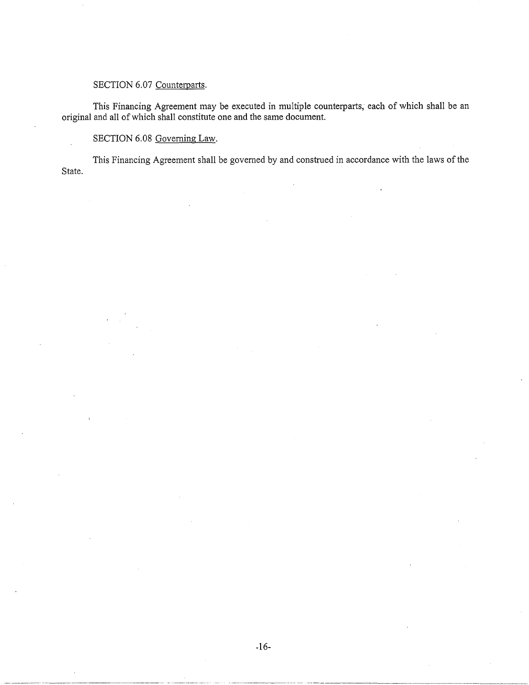# SECTION 6.07 Counterparts.

This Financing Agreement may be executed in multiple counterparts, each of which shall be an original and all of which shall constitute one and the same document.

# SECTION 6.08 Governing Law.

·--·--------------~-----

This Financing Agreement shall be governed by and construed in accordance with the laws of the State.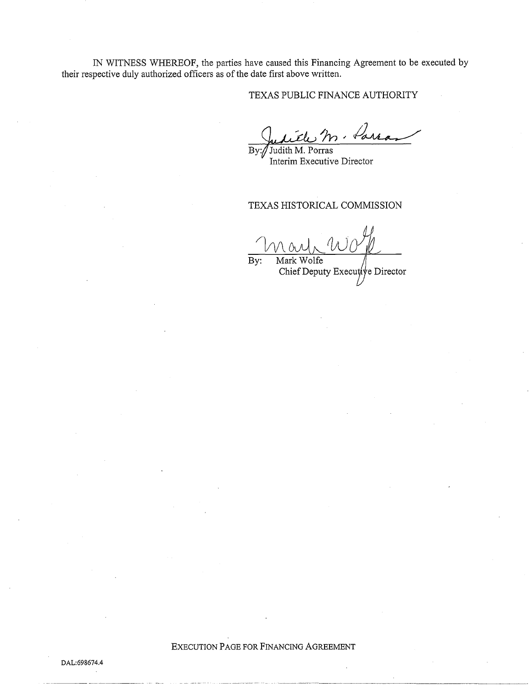IN WITNESS WHEREOF, the parties have caused this Financing Agreement to be executed by their respective duly authorized officers as of the date first above written.

# TEXAS PUBLIC FINANCE AUTHORITY

By: / Judith M. Porras

Judith M. Porras Interim Executive Director

# TEXAS HISTORICAL COMMISSION

By: Mark Wolfe

Chief Deputy Execut/ve Director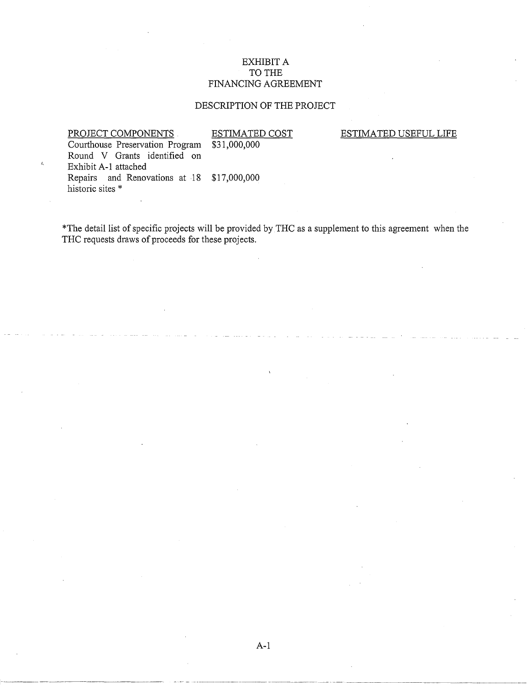# EXHIBIT A TO THE FINANCING AGREEMENT

# DESCRIPTION OF THE PROJECT

PROJECT COMPONENTS ESTIMATED COST<br>Courthouse Preservation Program \$31,000,000

ESTIMATED USEFUL LIFE

Courthouse Preservation Program Round V Grants identified on Exhibit A-1 attached Repairs and Renovations at 18 \$17,000,000 historic sites \*

\*The detail list of specific projects will be provided by THC as a supplement to this agreement when the THC requests draws of proceeds for these projects.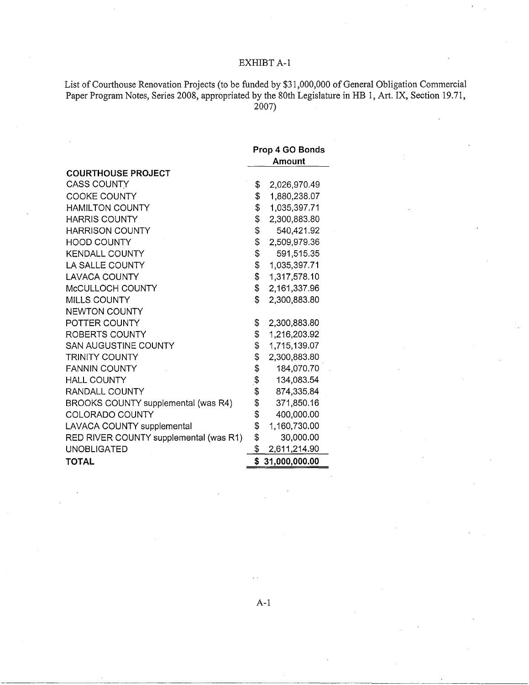# EXHIBT A-1

List of Courthouse Renovation Projects (to be funded by \$31,000,000 of General Obligation Commercial Paper Program Notes, Series 2008, appropriated by the 80th Legislature in HB 1, Art. IX, Section 19.71, 2007)

|                                        |                | Prop 4 GO Bonds<br>Amount |
|----------------------------------------|----------------|---------------------------|
| <b>COURTHOUSE PROJECT</b>              |                |                           |
| <b>CASS COUNTY</b>                     | \$             | 2,026,970.49              |
| <b>COOKE COUNTY</b>                    | \$             | 1,880,238.07              |
| <b>HAMILTON COUNTY</b>                 | \$             | 1,035,397.71              |
| <b>HARRIS COUNTY</b>                   | \$             | 2,300,883.80              |
| <b>HARRISON COUNTY</b>                 | \$             | 540,421.92                |
| <b>HOOD COUNTY</b>                     | \$             | 2,509,979.36              |
| <b>KENDALL COUNTY</b>                  | \$             | 591,515.35                |
| LA SALLE COUNTY                        | \$             | 1,035,397.71              |
| <b>LAVACA COUNTY</b>                   | \$             | 1,317,578.10              |
| McCULLOCH COUNTY                       | \$             | 2,161,337.96              |
| <b>MILLS COUNTY</b>                    | \$             | 2,300,883.80              |
| <b>NEWTON COUNTY</b>                   |                |                           |
| POTTER COUNTY                          | \$             | 2,300,883.80              |
| ROBERTS COUNTY                         | \$             | 1,216,203.92              |
| <b>SAN AUGUSTINE COUNTY</b>            | \$             | 1,715,139.07              |
| <b>TRINITY COUNTY</b>                  | \$             | 2,300,883.80              |
| <b>FANNIN COUNTY</b>                   | \$             | 184,070.70                |
| <b>HALL COUNTY</b>                     | $\mathfrak{F}$ | 134,083.54                |
| RANDALL COUNTY                         | \$             | 874,335.84                |
| BROOKS COUNTY supplemental (was R4)    | \$             | 371,850.16                |
| COLORADO COUNTY                        | \$             | 400,000.00                |
| <b>LAVACA COUNTY supplemental</b>      | \$             | 1,160,730.00              |
| RED RIVER COUNTY supplemental (was R1) | \$             | 30,000.00                 |
| <b>UNOBLIGATED</b>                     | \$             | 2,611,214.90              |
| TOTAL                                  | \$             | 31,000,000.00             |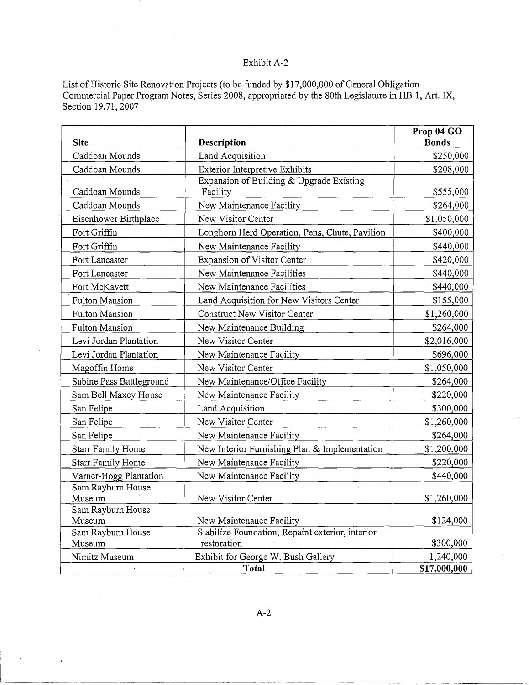# Exhibit A-2

List of Historic Site Renovation Projects (to be funded by \$17,000,000 of General Obligation Commercial Paper Program Notes, Series 2008, appropriated by the 80th Legislature in HB 1, Art. IX, Section 19.71, 2007

| <b>Site</b>                 | Description                                                                  | Prop 04 GO<br><b>Bonds</b> |
|-----------------------------|------------------------------------------------------------------------------|----------------------------|
| Caddoan Mounds              | Land Acquisition                                                             | \$250,000                  |
| Caddoan Mounds              | Exterior Interpretive Exhibits                                               | \$208,000                  |
| Caddoan Mounds              | Expansion of Building & Upgrade Existing<br>Facility                         | \$555,000                  |
| Caddoan Mounds              | New Maintenance Facility                                                     | \$264,000                  |
| Eisenhower Birthplace       | New Visitor Center                                                           | \$1,050,000                |
| Fort Griffin                | Longhorn Herd Operation, Pens, Chute, Pavilion                               | \$400,000                  |
| Fort Griffin                | New Maintenance Facility                                                     | \$440,000                  |
| Fort Lancaster              | Expansion of Visitor Center                                                  | \$420,000                  |
| Fort Lancaster              | New Maintenance Facilities                                                   | \$440,000                  |
| Fort McKavett               | New Maintenance Facilities                                                   | \$440,000                  |
| <b>Fulton Mansion</b>       | Land Acquisition for New Visitors Center                                     | \$155,000                  |
| Fulton Mansion              | Construct New Visitor Center                                                 | \$1,260,000                |
| <b>Fulton Mansion</b>       | New Maintenance Building                                                     | \$264,000                  |
| Levi Jordan Plantation      | New Visitor Center                                                           | \$2,016,000                |
| Levi Jordan Plantation      | New Maintenance Facility                                                     | \$696,000                  |
| Magoffin Home               | New Visitor Center                                                           | \$1,050,000                |
| Sabine Pass Battleground    | New Maintenance/Office Facility                                              | \$264,000                  |
| Sam Bell Maxey House        | New Maintenance Facility                                                     | \$220,000                  |
| San Felipe                  | Land Acquisition                                                             | \$300,000                  |
| San Felipe                  | New Visitor Center                                                           | \$1,260,000                |
| San Felipe                  | New Maintenance Facility                                                     | \$264,000                  |
| Starr Family Home           | New Interior Furnishing Plan & Implementation                                | \$1,200,000                |
| <b>Starr Family Home</b>    | New Maintenance Facility                                                     | \$220,000                  |
| Varner-Hogg Plantation      | New Maintenance Facility                                                     | \$440,000                  |
| Sam Rayburn House           |                                                                              |                            |
| Museum                      | New Visitor Center                                                           | \$1,260,000                |
| Sam Rayburn House<br>Museum |                                                                              | \$124,000                  |
| Sam Rayburn House           | New Maintenance Facility<br>Stabilize Foundation, Repaint exterior, interior |                            |
| Museum                      | restoration                                                                  | \$300,000                  |
| Nimitz Museum               | Exhibit for George W. Bush Gallery                                           | 1,240,000                  |
|                             | Total                                                                        | \$17,000,000               |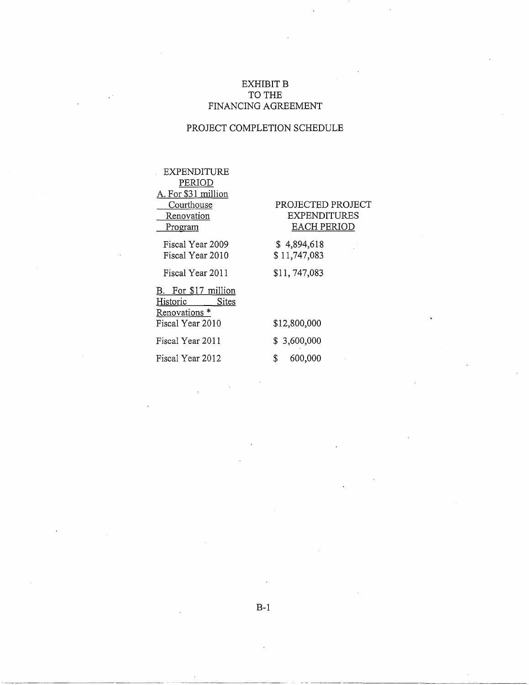# EXHIBIT B TO THE FINANCING AGREEMENT

# PROJECT COMPLETION SCHEDULE

EXPENDITURE PERIOD A. For \$31 million **Courthouse Renovation** 

Program

Fiscal Year 2009 Fiscal Year 2010

Fiscal Year 2011

B. For \$17 million Historic Sites Renovations \* Fiscal Year 2010

Fiscal Year 2011 Fiscal Year 2012

# PROJECTED PROJECT EXPENDITURES EACH PERIOD

\$ 4,894,618 \$ 11,747,083

\$11, 747,083

\$12,800,000 \$ 3,600,000 \$ 600,000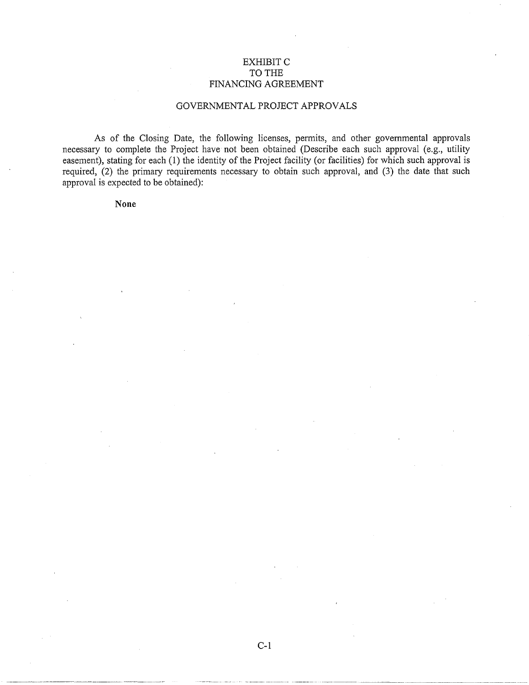# EXHIBIT C TO THE FINANCING AGREEMENT

# GOVERNMENTAL PROJECT APPROVALS

As of the Closing Date, the following licenses, permits, and other governmental approvals necessary to complete the Project have not been obtained (Describe each such approval (e.g., utility easement), stating for each (1) the identity of the Project facility (or facilities) for which such approval is required, (2) the primary requirements necessary to obtain such approval, and (3) the date that such approval is expected to be obtained):

# **None**

--~ --------- -- ------- --- - ------------- .. ------ ---~~ ~---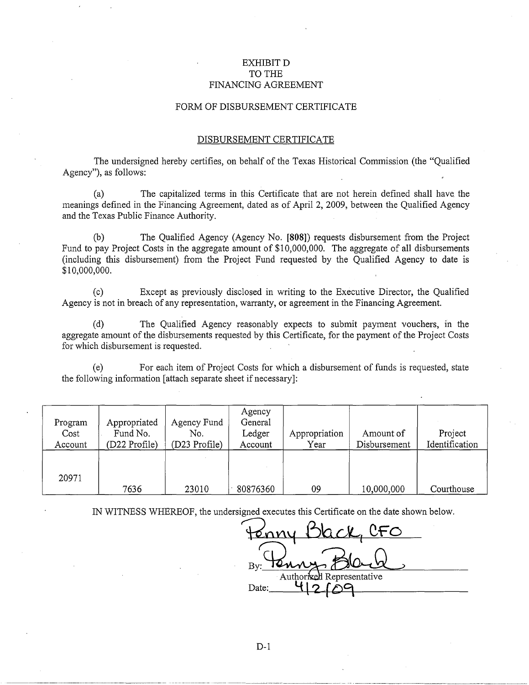# EXHIBIT D TO THE FINANCING AGREEMENT

#### FORM OF DISBURSEMENT CERTIFICATE

#### DISBURSEMENT CERTIFICATE

The undersigned hereby certifies, on behalf of the Texas Historical Commission (the "Qualified Agency"), as follows:

(a) The capitalized terms in this Certificate that are not herein defined shall have. the meanings defined in the Financing Agreement, dated as of April 2, 2009, between the Qualified Agency and the Texas Public Finance Authority.

(b) The Qualified Agency (Agency No. **[808])** requests disbursement from the Project Fund to pay Project Costs in the aggregate amount of \$10,000,000. The aggregate of all disbursements (including this disbursement) from the Project Fund requested by the Qualified Agency to date is \$10,000,000.

(c) Except as previously disclosed in writing to the Executive Director, the Qualified Agency is not in breach of any representation, warranty, or agreement in the Financing Agreement.

(d) The Qualified Agency reasonably expects to submit payment vouchers, in the aggregate amount of the disbursements requested by this Certificate, for the payment of the Project Costs for which disbursement is requested.

(e) For each item of Project Costs for which a disbursement of funds is requested, state the following information [attach separate sheet if necessary]:

| Program<br>Cost<br>Account | Appropriated<br>Fund No.<br>(D22 Profile) | Agency Fund<br>No.<br>(D23 Profile) | Agency<br>General<br>Ledger<br>Account | Appropriation<br>Year | Amount of<br>Disbursement | Project<br>Identification |
|----------------------------|-------------------------------------------|-------------------------------------|----------------------------------------|-----------------------|---------------------------|---------------------------|
| 20971                      | 7636                                      | 23010                               | 80876360                               | 09                    | 10,000,000                | Courthouse                |

IN WITNESS WHEREOF, the undersigned executes this Certificate on the date shown below.

**t2on'i** *6\a,* G~ **C-F 0**  By: Town Black Date: 4 2 6 9

--~---·-------.. --- ----·-------- ---- -----··----··-- -- -- --------------·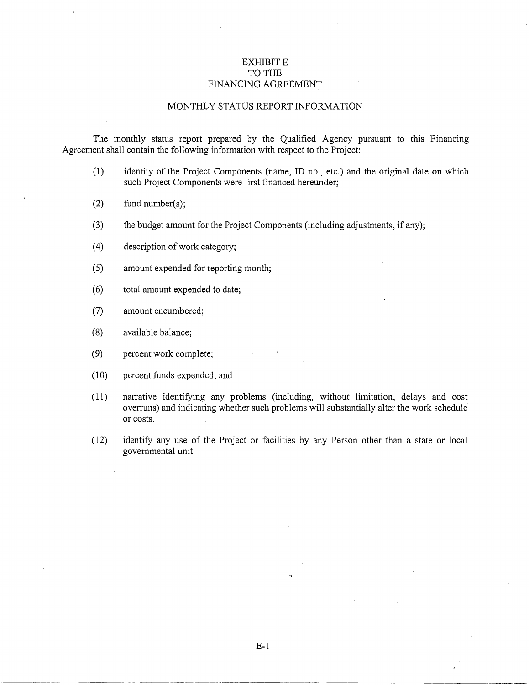# EXHIBIT E TO THE FINANCING AGREEMENT

#### MONTHLY STATUS REPORT INFORMATION

The monthly status report prepared by the Qualified Agency pursuant to this Financing Agreement shall contain the following information with respect to the Project:

- (1) identity of the Project Components (name, ID no., etc.) and the original date on which such Project Components were first financed hereunder;
- $(2)$  fund number(s);
- (3) the budget amount for the Project Components (including adjustments, if any);
- (4) description of work category;
- (5) amount expended for reporting month;
- ( 6) total amount expended to date;
- (7) amount encumbered;
- (8) available balance;
- (9) percent work complete;
- (10) percent funds expended; and
- (11) narrative identifying any problems (including, without limitation, delays and cost overruns) and indicating whether such problems will substantially alter the work schedule or costs.
- (12) identify any use of the Project or facilities by any Person other than a state or local governmental unit.

E-1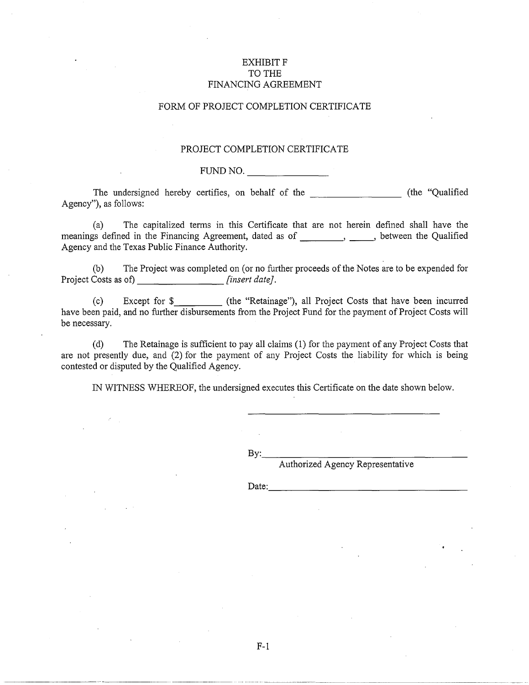# **EXHIBIT F** TO THE FINANCING AGREEMENT

# FORM OF PROJECT COMPLETION CERTIFICATE

## PROJECT COMPLETION CERTIFICATE

# FUND NO.

The undersigned hereby certifies, on behalf of the \_\_\_\_\_\_ (the "Qualified Agency"), as follows:

(a) The capitalized terms in this Certificate that are not herein defined shall have the meanings defined in the Financing Agreement, dated as of \_\_\_\_\_\_\_\_, \_\_\_\_\_, between the Qualified Agency and the Texas Public Finance Authority.

(b) The Project was completed on (or no further proceeds of the Notes are to be expended for Project Costs as of) *[insert date]*.

(c) Except for \$ (the "Retainage"), all Project Costs that have been incurred have been paid, and no further disbursements from the Project Fund for the payment of Project Costs will be necessary.

(d) The Retainage is sufficient to pay all claims (1) for the payment of any Project Costs that are not presently due, and (2) for the payment of any Project Costs the liability for which is being contested or disputed by the Qualified Agency.

IN WITNESS WHEREOF, the undersigned executes this Certificate on the date shown below.

By: \_\_\_\_\_\_\_\_\_\_\_\_\_\_\_ \_

Authorized Agency Representative

Date:

F-1

----------- ------------------------